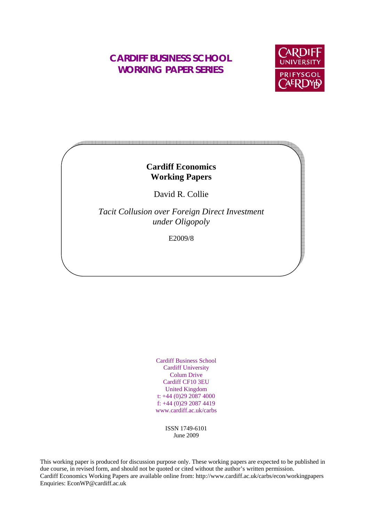## **CARDIFF BUSINESS SCHOOL WORKING PAPER SERIES**



### **Cardiff Economics Working Papers**

David R. Collie

*Tacit Collusion over Foreign Direct Investment under Oligopoly* 

E2009/8

Cardiff Business School Cardiff University Colum Drive Cardiff CF10 3EU United Kingdom t: +44 (0)29 2087 4000 f: +44 (0)29 2087 4419 www.cardiff.ac.uk/carbs

> ISSN 1749-6101 June 2009

This working paper is produced for discussion purpose only. These working papers are expected to be published in due course, in revised form, and should not be quoted or cited without the author's written permission. Cardiff Economics Working Papers are available online from: http://www.cardiff.ac.uk/carbs/econ/workingpapers Enquiries: EconWP@cardiff.ac.uk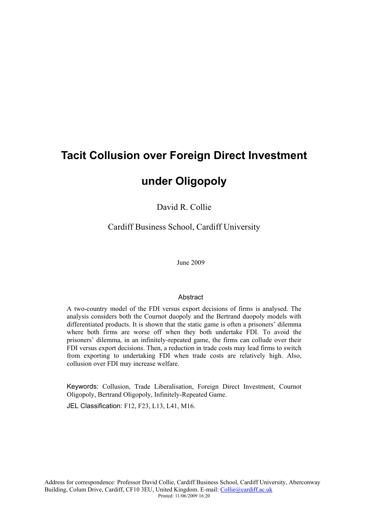# **Tacit Collusion over Foreign Direct Investment**

## **under Oligopoly**

David R. Collie

Cardiff Business School, Cardiff University

June 2009

#### **Abstract**

A two-country model of the FDI versus export decisions of firms is analysed. The analysis considers both the Cournot duopoly and the Bertrand duopoly models with differentiated products. It is shown that the static game is often a prisoners' dilemma where both firms are worse off when they both undertake FDI. To avoid the prisoners' dilemma, in an infinitely-repeated game, the firms can collude over their FDI versus export decisions. Then, a reduction in trade costs may lead firms to switch from exporting to undertaking FDI when trade costs are relatively high. Also, collusion over FDI may increase welfare.

Keywords: Collusion, Trade Liberalisation, Foreign Direct Investment, Cournot Oligopoly, Bertrand Oligopoly, Infinitely-Repeated Game.

JEL Classification: F12, F23, L13, L41, M16.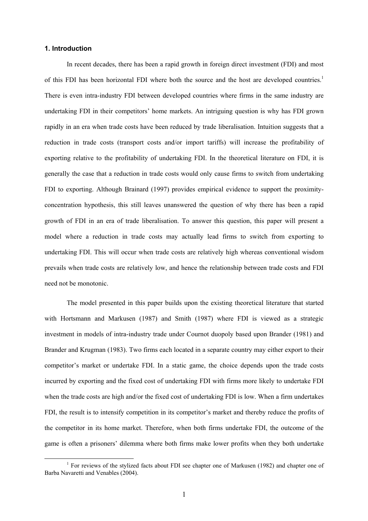#### **1. Introduction**

In recent decades, there has been a rapid growth in foreign direct investment (FDI) and most of this FDI has been horizontal FDI where both the source and the host are developed countries.<sup>1</sup> There is even intra-industry FDI between developed countries where firms in the same industry are undertaking FDI in their competitors' home markets. An intriguing question is why has FDI grown rapidly in an era when trade costs have been reduced by trade liberalisation. Intuition suggests that a reduction in trade costs (transport costs and/or import tariffs) will increase the profitability of exporting relative to the profitability of undertaking FDI. In the theoretical literature on FDI, it is generally the case that a reduction in trade costs would only cause firms to switch from undertaking FDI to exporting. Although Brainard (1997) provides empirical evidence to support the proximityconcentration hypothesis, this still leaves unanswered the question of why there has been a rapid growth of FDI in an era of trade liberalisation. To answer this question, this paper will present a model where a reduction in trade costs may actually lead firms to switch from exporting to undertaking FDI. This will occur when trade costs are relatively high whereas conventional wisdom prevails when trade costs are relatively low, and hence the relationship between trade costs and FDI need not be monotonic.

The model presented in this paper builds upon the existing theoretical literature that started with Hortsmann and Markusen (1987) and Smith (1987) where FDI is viewed as a strategic investment in models of intra-industry trade under Cournot duopoly based upon Brander (1981) and Brander and Krugman (1983). Two firms each located in a separate country may either export to their competitor's market or undertake FDI. In a static game, the choice depends upon the trade costs incurred by exporting and the fixed cost of undertaking FDI with firms more likely to undertake FDI when the trade costs are high and/or the fixed cost of undertaking FDI is low. When a firm undertakes FDI, the result is to intensify competition in its competitor's market and thereby reduce the profits of the competitor in its home market. Therefore, when both firms undertake FDI, the outcome of the game is often a prisoners' dilemma where both firms make lower profits when they both undertake

<sup>&</sup>lt;u>1</u> <sup>1</sup> For reviews of the stylized facts about FDI see chapter one of Markusen (1982) and chapter one of Barba Navaretti and Venables (2004).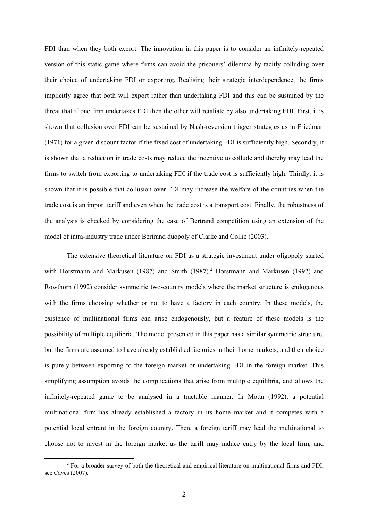FDI than when they both export. The innovation in this paper is to consider an infinitely-repeated version of this static game where firms can avoid the prisoners' dilemma by tacitly colluding over their choice of undertaking FDI or exporting. Realising their strategic interdependence, the firms implicitly agree that both will export rather than undertaking FDI and this can be sustained by the threat that if one firm undertakes FDI then the other will retaliate by also undertaking FDI. First, it is shown that collusion over FDI can be sustained by Nash-reversion trigger strategies as in Friedman (1971) for a given discount factor if the fixed cost of undertaking FDI is sufficiently high. Secondly, it is shown that a reduction in trade costs may reduce the incentive to collude and thereby may lead the firms to switch from exporting to undertaking FDI if the trade cost is sufficiently high. Thirdly, it is shown that it is possible that collusion over FDI may increase the welfare of the countries when the trade cost is an import tariff and even when the trade cost is a transport cost. Finally, the robustness of the analysis is checked by considering the case of Bertrand competition using an extension of the model of intra-industry trade under Bertrand duopoly of Clarke and Collie (2003).

The extensive theoretical literature on FDI as a strategic investment under oligopoly started with Horstmann and Markusen (1987) and Smith  $(1987)$ .<sup>2</sup> Horstmann and Markusen (1992) and Rowthorn (1992) consider symmetric two-country models where the market structure is endogenous with the firms choosing whether or not to have a factory in each country. In these models, the existence of multinational firms can arise endogenously, but a feature of these models is the possibility of multiple equilibria. The model presented in this paper has a similar symmetric structure, but the firms are assumed to have already established factories in their home markets, and their choice is purely between exporting to the foreign market or undertaking FDI in the foreign market. This simplifying assumption avoids the complications that arise from multiple equilibria, and allows the infinitely-repeated game to be analysed in a tractable manner. In Motta (1992), a potential multinational firm has already established a factory in its home market and it competes with a potential local entrant in the foreign country. Then, a foreign tariff may lead the multinational to choose not to invest in the foreign market as the tariff may induce entry by the local firm, and

 $\frac{1}{2}$  $<sup>2</sup>$  For a broader survey of both the theoretical and empirical literature on multinational firms and FDI,</sup> see Caves (2007).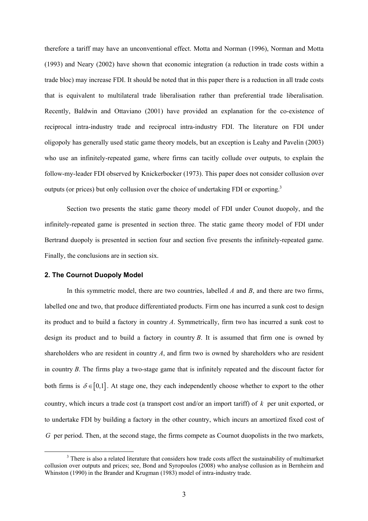therefore a tariff may have an unconventional effect. Motta and Norman (1996), Norman and Motta (1993) and Neary (2002) have shown that economic integration (a reduction in trade costs within a trade bloc) may increase FDI. It should be noted that in this paper there is a reduction in all trade costs that is equivalent to multilateral trade liberalisation rather than preferential trade liberalisation. Recently, Baldwin and Ottaviano (2001) have provided an explanation for the co-existence of reciprocal intra-industry trade and reciprocal intra-industry FDI. The literature on FDI under oligopoly has generally used static game theory models, but an exception is Leahy and Pavelin (2003) who use an infinitely-repeated game, where firms can tacitly collude over outputs, to explain the follow-my-leader FDI observed by Knickerbocker (1973). This paper does not consider collusion over outputs (or prices) but only collusion over the choice of undertaking FDI or exporting.<sup>3</sup>

Section two presents the static game theory model of FDI under Counot duopoly, and the infinitely-repeated game is presented in section three. The static game theory model of FDI under Bertrand duopoly is presented in section four and section five presents the infinitely-repeated game. Finally, the conclusions are in section six.

#### **2. The Cournot Duopoly Model**

In this symmetric model, there are two countries, labelled *A* and *B*, and there are two firms, labelled one and two, that produce differentiated products. Firm one has incurred a sunk cost to design its product and to build a factory in country *A*. Symmetrically, firm two has incurred a sunk cost to design its product and to build a factory in country *B*. It is assumed that firm one is owned by shareholders who are resident in country *A*, and firm two is owned by shareholders who are resident in country *B*. The firms play a two-stage game that is infinitely repeated and the discount factor for both firms is  $\delta \in [0,1]$ . At stage one, they each independently choose whether to export to the other country, which incurs a trade cost (a transport cost and/or an import tariff) of *k* per unit exported, or to undertake FDI by building a factory in the other country, which incurs an amortized fixed cost of *G* per period. Then, at the second stage, the firms compete as Cournot duopolists in the two markets,

 <sup>3</sup>  $3$  There is also a related literature that considers how trade costs affect the sustainability of multimarket collusion over outputs and prices; see, Bond and Syropoulos (2008) who analyse collusion as in Bernheim and Whinston (1990) in the Brander and Krugman (1983) model of intra-industry trade.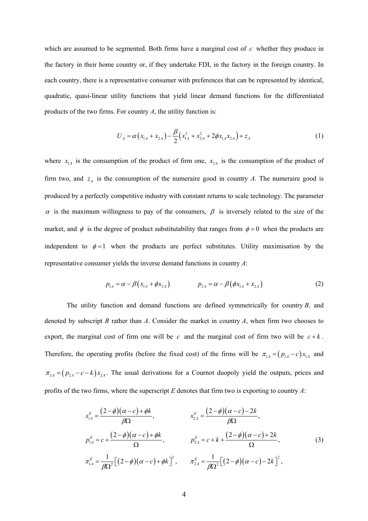which are assumed to be segmented. Both firms have a marginal cost of *c* whether they produce in the factory in their home country or, if they undertake FDI, in the factory in the foreign country. In each country, there is a representative consumer with preferences that can be represented by identical, quadratic, quasi-linear utility functions that yield linear demand functions for the differentiated products of the two firms. For country *A*, the utility function is:

$$
U_A = \alpha (x_{1A} + x_{2A}) - \frac{\beta}{2} (x_{1A}^2 + x_{2A}^2 + 2\phi x_{1A} x_{2A}) + z_A
$$
 (1)

where  $x_{1A}$  is the consumption of the product of firm one,  $x_{2A}$  is the consumption of the product of firm two, and  $z_A$  is the consumption of the numeraire good in country *A*. The numeraire good is produced by a perfectly competitive industry with constant returns to scale technology. The parameter  $\alpha$  is the maximum willingness to pay of the consumers,  $\beta$  is inversely related to the size of the market, and  $\phi$  is the degree of product substitutability that ranges from  $\phi = 0$  when the products are independent to  $\phi = 1$  when the products are perfect substitutes. Utility maximisation by the representative consumer yields the inverse demand functions in country *A*:

$$
p_{1A} = \alpha - \beta (x_{1A} + \phi x_{2A}) \qquad p_{2A} = \alpha - \beta (\phi x_{1A} + x_{2A}) \qquad (2)
$$

The utility function and demand functions are defined symmetrically for country *B*, and denoted by subscript *B* rather than *A*. Consider the market in country *A*, when firm two chooses to export, the marginal cost of firm one will be  $c$  and the marginal cost of firm two will be  $c + k$ . Therefore, the operating profits (before the fixed cost) of the firms will be  $\pi_{1A} = (p_{1A} - c)x_{1A}$  and  $\pi_{2A} = (p_{2A} - c - k)x_{2A}$ . The usual derivations for a Cournot duopoly yield the outputs, prices and profits of the two firms, where the superscript *E* denotes that firm two is exporting to country *A*:

$$
x_{1A}^{E} = \frac{(2-\phi)(\alpha - c) + \phi k}{\beta \Omega}, \qquad x_{2A}^{E} = \frac{(2-\phi)(\alpha - c) - 2k}{\beta \Omega},
$$
  
\n
$$
p_{1A}^{E} = c + \frac{(2-\phi)(\alpha - c) + \phi k}{\Omega}, \qquad p_{2A}^{E} = c + k + \frac{(2-\phi)(\alpha - c) + 2k}{\Omega},
$$
  
\n
$$
\pi_{1A}^{E} = \frac{1}{\beta \Omega^{2}} \Big[ (2-\phi)(\alpha - c) + \phi k \Big]^{2}, \qquad \pi_{2A}^{E} = \frac{1}{\beta \Omega^{2}} \Big[ (2-\phi)(\alpha - c) - 2k \Big]^{2},
$$
\n(3)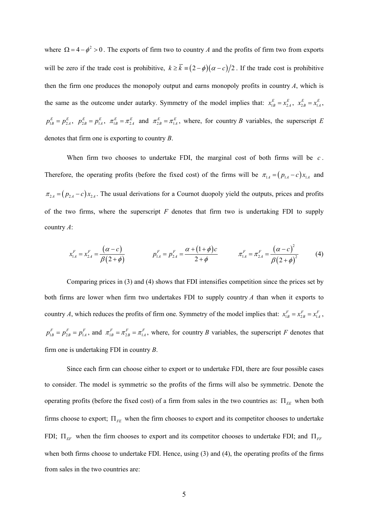where  $\Omega = 4 - \phi^2 > 0$ . The exports of firm two to country *A* and the profits of firm two from exports will be zero if the trade cost is prohibitive,  $k \ge \overline{k} = (2 - \phi)(\alpha - c)/2$ . If the trade cost is prohibitive then the firm one produces the monopoly output and earns monopoly profits in country *A*, which is the same as the outcome under autarky. Symmetry of the model implies that:  $x_{1B}^E = x_{2A}^E$ ,  $x_{2B}^E = x_{1A}^E$ ,  $p_{1B}^E = p_{2A}^E$ ,  $p_{2B}^E = p_{1A}^E$ ,  $\pi_{1B}^E = \pi_{2A}^E$  and  $\pi_{2B}^E = \pi_{1A}^E$ , where, for country *B* variables, the superscript *E* denotes that firm one is exporting to country *B*.

When firm two chooses to undertake FDI, the marginal cost of both firms will be *c* . Therefore, the operating profits (before the fixed cost) of the firms will be  $\pi_{1A} = (p_{1A} - c)x_{1A}$  and  $\pi_{2A} = (p_{2A} - c)x_{2A}$ . The usual derivations for a Cournot duopoly yield the outputs, prices and profits of the two firms, where the superscript *F* denotes that firm two is undertaking FDI to supply country *A*:

$$
x_{1A}^F = x_{2A}^F = \frac{(\alpha - c)}{\beta(2 + \phi)}
$$
\n
$$
p_{1A}^F = p_{2A}^F = \frac{\alpha + (1 + \phi)c}{2 + \phi}
$$
\n
$$
\pi_{1A}^F = \pi_{2A}^F = \frac{(\alpha - c)^2}{\beta(2 + \phi)^2}
$$
\n(4)

Comparing prices in (3) and (4) shows that FDI intensifies competition since the prices set by both firms are lower when firm two undertakes FDI to supply country *A* than when it exports to country *A*, which reduces the profits of firm one. Symmetry of the model implies that:  $x_{1B}^F = x_{2B}^F = x_{1A}^F$ ,  $p_{1B}^F = p_{2B}^F = p_{1A}^F$ , and  $\pi_{1B}^F = \pi_{2B}^F = \pi_{1A}^F$ , where, for country *B* variables, the superscript *F* denotes that firm one is undertaking FDI in country *B*.

Since each firm can choose either to export or to undertake FDI, there are four possible cases to consider. The model is symmetric so the profits of the firms will also be symmetric. Denote the operating profits (before the fixed cost) of a firm from sales in the two countries as: Π<sub>EE</sub> when both firms choose to export;  $\Pi_{FE}$  when the firm chooses to export and its competitor chooses to undertake FDI;  $\Pi_{EF}$  when the firm chooses to export and its competitor chooses to undertake FDI; and  $\Pi_{FF}$ when both firms choose to undertake FDI. Hence, using (3) and (4), the operating profits of the firms from sales in the two countries are: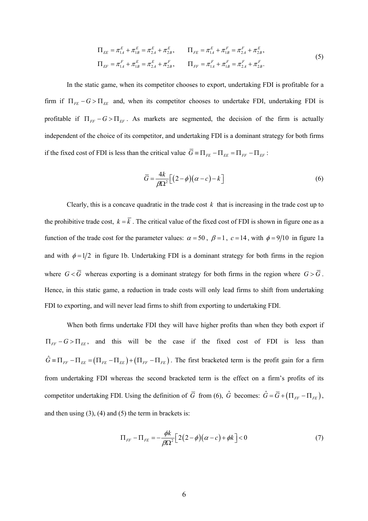$$
\Pi_{EE} = \pi_{1A}^{E} + \pi_{1B}^{E} = \pi_{2A}^{E} + \pi_{2B}^{E}, \qquad \Pi_{FE} = \pi_{1A}^{E} + \pi_{1B}^{F} = \pi_{2A}^{F} + \pi_{2B}^{E},
$$
\n
$$
\Pi_{EF} = \pi_{1A}^{F} + \pi_{1B}^{E} = \pi_{2A}^{E} + \pi_{2B}^{F}, \qquad \Pi_{FF} = \pi_{1A}^{F} + \pi_{1B}^{F} = \pi_{2A}^{F} + \pi_{2B}^{F}.
$$
\n(5)

In the static game, when its competitor chooses to export, undertaking FDI is profitable for a firm if  $\Pi_{FE} - G > \Pi_{EE}$  and, when its competitor chooses to undertake FDI, undertaking FDI is profitable if  $\Pi_{FF} - G > \Pi_{EF}$ . As markets are segmented, the decision of the firm is actually independent of the choice of its competitor, and undertaking FDI is a dominant strategy for both firms if the fixed cost of FDI is less than the critical value  $\overline{G} = \Pi_{FE} - \Pi_{EF} = \Pi_{FF} - \Pi_{EF}$ .

$$
\overline{G} = \frac{4k}{\beta \Omega^2} \left[ \left( 2 - \phi \right) \left( \alpha - c \right) - k \right] \tag{6}
$$

Clearly, this is a concave quadratic in the trade cost *k* that is increasing in the trade cost up to the prohibitive trade cost,  $k = \overline{k}$ . The critical value of the fixed cost of FDI is shown in figure one as a function of the trade cost for the parameter values:  $\alpha = 50$ ,  $\beta = 1$ ,  $c = 14$ , with  $\phi = 9/10$  in figure 1a and with  $\phi = 1/2$  in figure 1b. Undertaking FDI is a dominant strategy for both firms in the region where  $G < \overline{G}$  whereas exporting is a dominant strategy for both firms in the region where  $G > \overline{G}$ . Hence, in this static game, a reduction in trade costs will only lead firms to shift from undertaking FDI to exporting, and will never lead firms to shift from exporting to undertaking FDI.

When both firms undertake FDI they will have higher profits than when they both export if  $\Pi_{FF} - G > \Pi_{EE}$ , and this will be the case if the fixed cost of FDI is less than  $\hat{G} = \Pi_{FF} - \Pi_{EE} = (\Pi_{FE} - \Pi_{EE}) + (\Pi_{FF} - \Pi_{FE})$ . The first bracketed term is the profit gain for a firm from undertaking FDI whereas the second bracketed term is the effect on a firm's profits of its competitor undertaking FDI. Using the definition of  $\overline{G}$  from (6),  $\hat{G}$  becomes:  $\hat{G} = \overline{G} + (\Pi_{FF} - \Pi_{FE})$ , and then using  $(3)$ ,  $(4)$  and  $(5)$  the term in brackets is:

$$
\Pi_{FF} - \Pi_{FE} = -\frac{\phi k}{\beta \Omega^2} \Big[ 2(2-\phi)(\alpha - c) + \phi k \Big] < 0 \tag{7}
$$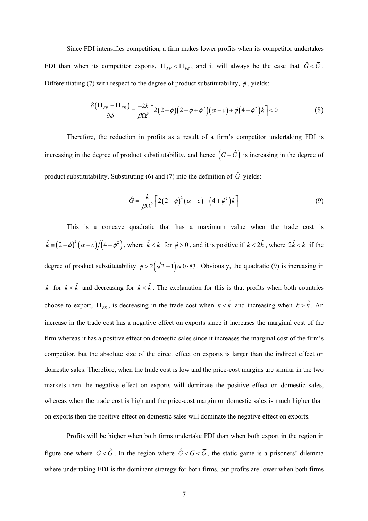Since FDI intensifies competition, a firm makes lower profits when its competitor undertakes FDI than when its competitor exports,  $\Pi_{FF} < \Pi_{FE}$ , and it will always be the case that  $\hat{G} < \overline{G}$ . Differentiating (7) with respect to the degree of product substitutability,  $\phi$ , yields:

$$
\frac{\partial \left(\Pi_{FF} - \Pi_{FE}\right)}{\partial \phi} = \frac{-2k}{\beta \Omega^3} \Big[ 2(2-\phi)\Big(2-\phi+\phi^2\Big) \big(\alpha - c\big) + \phi\Big(4+\phi^2\Big)k \Big] < 0 \tag{8}
$$

Therefore, the reduction in profits as a result of a firm's competitor undertaking FDI is increasing in the degree of product substitutability, and hence  $(\bar{G} - \hat{G})$  is increasing in the degree of product substitutability. Substituting (6) and (7) into the definition of  $\hat{G}$  yields:

$$
\hat{G} = \frac{k}{\beta \Omega^2} \left[ 2(2-\phi)^2 (\alpha - c) - (4+\phi^2)k \right]
$$
\n(9)

This is a concave quadratic that has a maximum value when the trade cost is  $\hat{k} = (2 - \phi)^2 (\alpha - c)/(4 + \phi^2)$ , where  $\hat{k} < \overline{k}$  for  $\phi > 0$ , and it is positive if  $k < 2\hat{k}$ , where  $2\hat{k} < \overline{k}$  if the degree of product substitutability  $\phi > 2(\sqrt{2}-1) \approx 0.83$ . Obviously, the quadratic (9) is increasing in *k* for  $k < \hat{k}$  and decreasing for  $k < \hat{k}$ . The explanation for this is that profits when both countries choose to export,  $\Pi_{EE}$ , is decreasing in the trade cost when  $k < \hat{k}$  and increasing when  $k > \hat{k}$ . An increase in the trade cost has a negative effect on exports since it increases the marginal cost of the firm whereas it has a positive effect on domestic sales since it increases the marginal cost of the firm's competitor, but the absolute size of the direct effect on exports is larger than the indirect effect on domestic sales. Therefore, when the trade cost is low and the price-cost margins are similar in the two markets then the negative effect on exports will dominate the positive effect on domestic sales, whereas when the trade cost is high and the price-cost margin on domestic sales is much higher than on exports then the positive effect on domestic sales will dominate the negative effect on exports.

Profits will be higher when both firms undertake FDI than when both export in the region in figure one where  $G < \hat{G}$ . In the region where  $\hat{G} < G < \overline{G}$ , the static game is a prisoners' dilemma where undertaking FDI is the dominant strategy for both firms, but profits are lower when both firms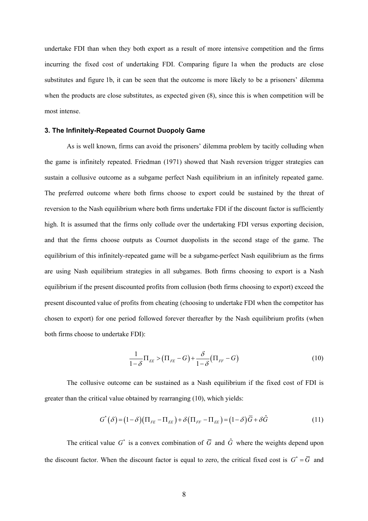undertake FDI than when they both export as a result of more intensive competition and the firms incurring the fixed cost of undertaking FDI. Comparing figure 1a when the products are close substitutes and figure 1b, it can be seen that the outcome is more likely to be a prisoners' dilemma when the products are close substitutes, as expected given (8), since this is when competition will be most intense.

#### **3. The Infinitely-Repeated Cournot Duopoly Game**

As is well known, firms can avoid the prisoners' dilemma problem by tacitly colluding when the game is infinitely repeated. Friedman (1971) showed that Nash reversion trigger strategies can sustain a collusive outcome as a subgame perfect Nash equilibrium in an infinitely repeated game. The preferred outcome where both firms choose to export could be sustained by the threat of reversion to the Nash equilibrium where both firms undertake FDI if the discount factor is sufficiently high. It is assumed that the firms only collude over the undertaking FDI versus exporting decision, and that the firms choose outputs as Cournot duopolists in the second stage of the game. The equilibrium of this infinitely-repeated game will be a subgame-perfect Nash equilibrium as the firms are using Nash equilibrium strategies in all subgames. Both firms choosing to export is a Nash equilibrium if the present discounted profits from collusion (both firms choosing to export) exceed the present discounted value of profits from cheating (choosing to undertake FDI when the competitor has chosen to export) for one period followed forever thereafter by the Nash equilibrium profits (when both firms choose to undertake FDI):

$$
\frac{1}{1-\delta}\Pi_{EE} > (\Pi_{FE} - G) + \frac{\delta}{1-\delta}(\Pi_{FF} - G) \tag{10}
$$

The collusive outcome can be sustained as a Nash equilibrium if the fixed cost of FDI is greater than the critical value obtained by rearranging (10), which yields:

$$
G^*(\delta) = (1 - \delta)(\Pi_{FE} - \Pi_{EE}) + \delta(\Pi_{FF} - \Pi_{EE}) = (1 - \delta)\overline{G} + \delta\hat{G}
$$
\n(11)

The critical value  $G^*$  is a convex combination of  $\overline{G}$  and  $\hat{G}$  where the weights depend upon the discount factor. When the discount factor is equal to zero, the critical fixed cost is  $G^* = \overline{G}$  and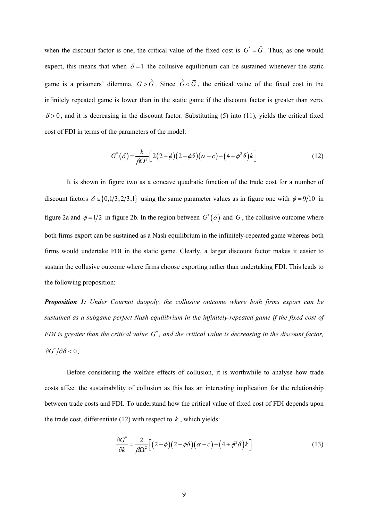when the discount factor is one, the critical value of the fixed cost is  $G^* = \hat{G}$ . Thus, as one would expect, this means that when  $\delta = 1$  the collusive equilibrium can be sustained whenever the static game is a prisoners' dilemma,  $G > \hat{G}$ . Since  $\hat{G} < \overline{G}$ , the critical value of the fixed cost in the infinitely repeated game is lower than in the static game if the discount factor is greater than zero,  $\delta$  > 0, and it is decreasing in the discount factor. Substituting (5) into (11), yields the critical fixed cost of FDI in terms of the parameters of the model:

$$
G^*(\delta) = \frac{k}{\beta \Omega^2} \Big[ 2(2-\phi)(2-\phi\delta)(\alpha-c) - (4+\phi^2\delta)k \Big]
$$
(12)

It is shown in figure two as a concave quadratic function of the trade cost for a number of discount factors  $\delta \in \{0, 1/3, 2/3, 1\}$  using the same parameter values as in figure one with  $\phi = 9/10$  in figure 2a and  $\phi = 1/2$  in figure 2b. In the region between  $G^*(\delta)$  and  $\overline{G}$ , the collusive outcome where both firms export can be sustained as a Nash equilibrium in the infinitely-repeated game whereas both firms would undertake FDI in the static game. Clearly, a larger discount factor makes it easier to sustain the collusive outcome where firms choose exporting rather than undertaking FDI. This leads to the following proposition:

*Proposition 1: Under Cournot duopoly, the collusive outcome where both firms export can be sustained as a subgame perfect Nash equilibrium in the infinitely-repeated game if the fixed cost of FDI is greater than the critical value*  $G^*$ , and the critical value is decreasing in the discount factor,  $\partial G^* / \partial \delta < 0$ .

Before considering the welfare effects of collusion, it is worthwhile to analyse how trade costs affect the sustainability of collusion as this has an interesting implication for the relationship between trade costs and FDI. To understand how the critical value of fixed cost of FDI depends upon the trade cost, differentiate  $(12)$  with respect to  $k$ , which yields:

$$
\frac{\partial G^*}{\partial k} = \frac{2}{\beta \Omega^2} \Big[ \Big( 2 - \phi \Big) \Big( 2 - \phi \delta \Big) \Big( \alpha - c \Big) - \Big( 4 + \phi^2 \delta \Big) k \Big] \tag{13}
$$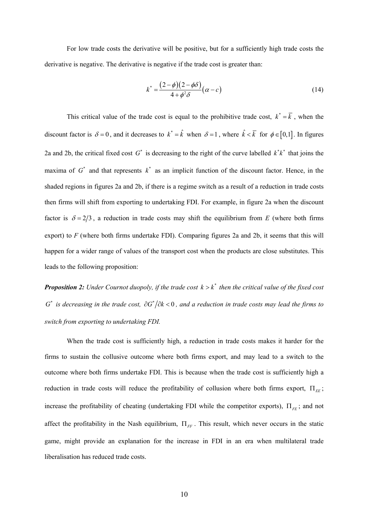For low trade costs the derivative will be positive, but for a sufficiently high trade costs the derivative is negative. The derivative is negative if the trade cost is greater than:

$$
k^* = \frac{(2-\phi)(2-\phi\delta)}{4+\phi^2\delta}(\alpha-c)
$$
\n(14)

This critical value of the trade cost is equal to the prohibitive trade cost,  $k^* = \overline{k}$ , when the discount factor is  $\delta = 0$ , and it decreases to  $k^* = \hat{k}$  when  $\delta = 1$ , where  $\hat{k} < \overline{k}$  for  $\phi \in [0,1]$ . In figures 2a and 2b, the critical fixed cost  $G^*$  is decreasing to the right of the curve labelled  $k^* k^*$  that joins the maxima of  $G^*$  and that represents  $k^*$  as an implicit function of the discount factor. Hence, in the shaded regions in figures 2a and 2b, if there is a regime switch as a result of a reduction in trade costs then firms will shift from exporting to undertaking FDI. For example, in figure 2a when the discount factor is  $\delta = 2/3$ , a reduction in trade costs may shift the equilibrium from *E* (where both firms export) to  $F$  (where both firms undertake FDI). Comparing figures 2a and 2b, it seems that this will happen for a wider range of values of the transport cost when the products are close substitutes. This leads to the following proposition:

*Proposition 2: Under Cournot duopoly, if the trade cost*  $k > k^*$  *then the critical value of the fixed cost G*<sup>\*</sup> *is decreasing in the trade cost,*  $\partial G^*/\partial k < 0$ *, and a reduction in trade costs may lead the firms to switch from exporting to undertaking FDI.* 

When the trade cost is sufficiently high, a reduction in trade costs makes it harder for the firms to sustain the collusive outcome where both firms export, and may lead to a switch to the outcome where both firms undertake FDI. This is because when the trade cost is sufficiently high a reduction in trade costs will reduce the profitability of collusion where both firms export,  $\Pi_{FE}$ ; increase the profitability of cheating (undertaking FDI while the competitor exports),  $\Pi_{FE}$ ; and not affect the profitability in the Nash equilibrium,  $\Pi_{FF}$ . This result, which never occurs in the static game, might provide an explanation for the increase in FDI in an era when multilateral trade liberalisation has reduced trade costs.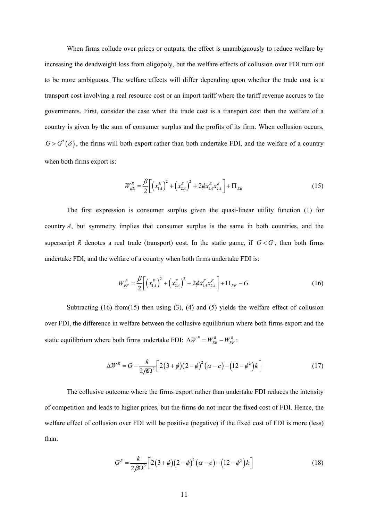When firms collude over prices or outputs, the effect is unambiguously to reduce welfare by increasing the deadweight loss from oligopoly, but the welfare effects of collusion over FDI turn out to be more ambiguous. The welfare effects will differ depending upon whether the trade cost is a transport cost involving a real resource cost or an import tariff where the tariff revenue accrues to the governments. First, consider the case when the trade cost is a transport cost then the welfare of a country is given by the sum of consumer surplus and the profits of its firm. When collusion occurs,  $G > G^*(\delta)$ , the firms will both export rather than both undertake FDI, and the welfare of a country when both firms export is:

$$
W_{EE}^{R} = \frac{\beta}{2} \left[ \left( x_{1A}^{E} \right)^{2} + \left( x_{2A}^{E} \right)^{2} + 2 \phi x_{1A}^{E} x_{2A}^{E} \right] + \Pi_{EE}
$$
\n(15)

The first expression is consumer surplus given the quasi-linear utility function (1) for country *A*, but symmetry implies that consumer surplus is the same in both countries, and the superscript *R* denotes a real trade (transport) cost. In the static game, if  $G < \overline{G}$ , then both firms undertake FDI, and the welfare of a country when both firms undertake FDI is:

$$
W_{FF}^{R} = \frac{\beta}{2} \bigg[ \left( x_{1A}^{F} \right)^{2} + \left( x_{2A}^{F} \right)^{2} + 2 \phi x_{1A}^{F} x_{2A}^{F} \bigg] + \Pi_{FF} - G \tag{16}
$$

Subtracting (16) from(15) then using (3), (4) and (5) yields the welfare effect of collusion over FDI, the difference in welfare between the collusive equilibrium where both firms export and the static equilibrium where both firms undertake FDI:  $\Delta W^R = W_{EE}^R - W_{FF}^R$ :

$$
\Delta W^{R} = G - \frac{k}{2\beta\Omega^{2}} \Big[ 2(3+\phi)(2-\phi)^{2}(\alpha-c) - (12-\phi^{2})k \Big]
$$
 (17)

The collusive outcome where the firms export rather than undertake FDI reduces the intensity of competition and leads to higher prices, but the firms do not incur the fixed cost of FDI. Hence, the welfare effect of collusion over FDI will be positive (negative) if the fixed cost of FDI is more (less) than:

$$
G^R = \frac{k}{2\beta\Omega^2} \Big[ 2(3+\phi)(2-\phi)^2(\alpha-c) - (12-\phi^2)k \Big]
$$
 (18)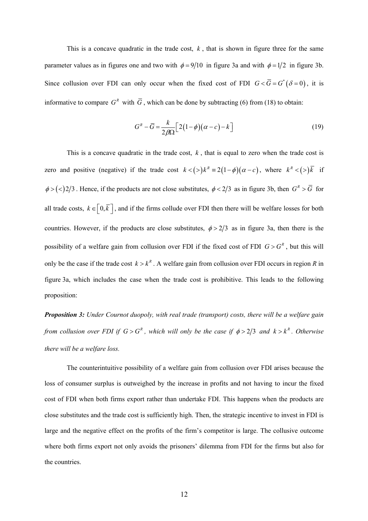This is a concave quadratic in the trade cost,  $k$ , that is shown in figure three for the same parameter values as in figures one and two with  $\phi = 9/10$  in figure 3a and with  $\phi = 1/2$  in figure 3b. Since collusion over FDI can only occur when the fixed cost of FDI  $G < \overline{G} = G^*(\delta = 0)$ , it is informative to compare  $G^R$  with  $\overline{G}$ , which can be done by subtracting (6) from (18) to obtain:

$$
G^R - \overline{G} = \frac{k}{2\beta\Omega} \Big[ 2(1-\phi)(\alpha - c) - k \Big]
$$
 (19)

This is a concave quadratic in the trade cost, *k* , that is equal to zero when the trade cost is zero and positive (negative) if the trade cost  $k < (>\rangle) k^R \equiv 2(1-\phi)(\alpha - c)$ , where  $k^R < (\geq) \overline{k}$  if  $\phi > (<) 2/3$ . Hence, if the products are not close substitutes,  $\phi < 2/3$  as in figure 3b, then  $G^R > \overline{G}$  for all trade costs,  $k \in [0, \overline{k}]$ , and if the firms collude over FDI then there will be welfare losses for both countries. However, if the products are close substitutes,  $\phi > 2/3$  as in figure 3a, then there is the possibility of a welfare gain from collusion over FDI if the fixed cost of FDI  $G > G<sup>R</sup>$ , but this will only be the case if the trade cost  $k > k^R$ . A welfare gain from collusion over FDI occurs in region *R* in figure 3a, which includes the case when the trade cost is prohibitive. This leads to the following proposition:

*Proposition 3: Under Cournot duopoly, with real trade (transport) costs, there will be a welfare gain from collusion over FDI if*  $G > G^R$ , which will only be the case if  $\phi > 2/3$  and  $k > k^R$ . Otherwise *there will be a welfare loss.* 

The counterintuitive possibility of a welfare gain from collusion over FDI arises because the loss of consumer surplus is outweighed by the increase in profits and not having to incur the fixed cost of FDI when both firms export rather than undertake FDI. This happens when the products are close substitutes and the trade cost is sufficiently high. Then, the strategic incentive to invest in FDI is large and the negative effect on the profits of the firm's competitor is large. The collusive outcome where both firms export not only avoids the prisoners' dilemma from FDI for the firms but also for the countries.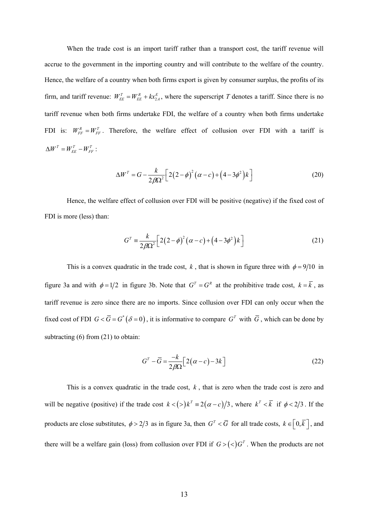When the trade cost is an import tariff rather than a transport cost, the tariff revenue will accrue to the government in the importing country and will contribute to the welfare of the country. Hence, the welfare of a country when both firms export is given by consumer surplus, the profits of its firm, and tariff revenue:  $W_{EE}^T = W_{EE}^R + kx_{2A}^E$ , where the superscript *T* denotes a tariff. Since there is no tariff revenue when both firms undertake FDI, the welfare of a country when both firms undertake FDI is:  $W_{FF}^R = W_{FF}^T$ . Therefore, the welfare effect of collusion over FDI with a tariff is  $\Delta W^T = W_{EE}^T - W_{FF}^T$ :

$$
\Delta W^{T} = G - \frac{k}{2\beta\Omega^{2}} \Big[ 2(2 - \phi)^{2} (\alpha - c) + (4 - 3\phi^{2})k \Big]
$$
 (20)

Hence, the welfare effect of collusion over FDI will be positive (negative) if the fixed cost of FDI is more (less) than:

$$
G^{T} = \frac{k}{2\beta\Omega^{2}} \Big[ 2(2-\phi)^{2}(\alpha - c) + (4-3\phi^{2})k \Big]
$$
 (21)

This is a convex quadratic in the trade cost, *k*, that is shown in figure three with  $\phi = 9/10$  in figure 3a and with  $\phi = 1/2$  in figure 3b. Note that  $G^T = G^R$  at the prohibitive trade cost,  $k = \overline{k}$ , as tariff revenue is zero since there are no imports. Since collusion over FDI can only occur when the fixed cost of FDI  $G < \overline{G} = G^*(\delta = 0)$ , it is informative to compare  $G^T$  with  $\overline{G}$ , which can be done by subtracting (6) from (21) to obtain:

$$
GT - \overline{G} = \frac{-k}{2\beta\Omega} \Big[ 2(\alpha - c) - 3k \Big]
$$
 (22)

This is a convex quadratic in the trade cost, *k* , that is zero when the trade cost is zero and will be negative (positive) if the trade cost  $k < (>\rangle) k^T \equiv 2(\alpha - c)/3$ , where  $k^T < \overline{k}$  if  $\phi < 2/3$ . If the products are close substitutes,  $\phi > 2/3$  as in figure 3a, then  $G^T < \overline{G}$  for all trade costs,  $k \in \left[0, \overline{k}\right]$ , and there will be a welfare gain (loss) from collusion over FDI if  $G > ($ *C* $)^T$ . When the products are not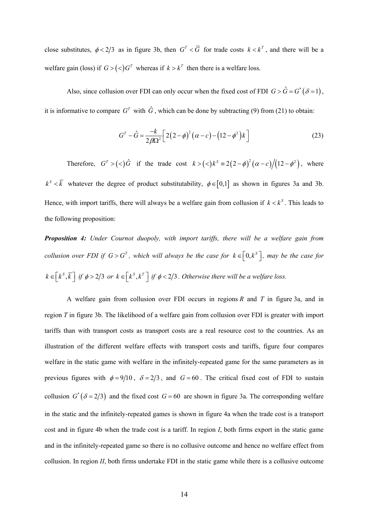close substitutes,  $\phi < 2/3$  as in figure 3b, then  $G^T < \overline{G}$  for trade costs  $k < k^T$ , and there will be a welfare gain (loss) if  $G > ($ *Z* $)$  $G<sup>T</sup>$  whereas if  $k > k<sup>T</sup>$  then there is a welfare loss.

Also, since collusion over FDI can only occur when the fixed cost of FDI  $G > \hat{G} = G^*(\delta = 1)$ , it is informative to compare  $G<sup>T</sup>$  with  $\hat{G}$ , which can be done by subtracting (9) from (21) to obtain:

$$
G^{T} - \hat{G} = \frac{-k}{2\beta\Omega^{2}} \Big[ 2(2-\phi)^{2}(\alpha - c) - (12-\phi^{2})k \Big]
$$
 (23)

Therefore,  $G^T > (\leq) \hat{G}$  if the trade cost  $k > (\leq) k^S = 2(2 - \phi)^2 (\alpha - c)/(12 - \phi^2)$ , where  $k^s < \overline{k}$  whatever the degree of product substitutability,  $\phi \in [0,1]$  as shown in figures 3a and 3b. Hence, with import tariffs, there will always be a welfare gain from collusion if  $k < k^s$ . This leads to the following proposition:

*Proposition 4: Under Cournot duopoly, with import tariffs, there will be a welfare gain from collusion over FDI if*  $G > G^T$ , which will always be the case for  $k \in [0, k^S]$ , may be the case for  $k \in [k^s, \overline{k}]$  if  $\phi > 2/3$  or  $k \in [k^s, k^r]$  if  $\phi < 2/3$ . Otherwise there will be a welfare loss.

A welfare gain from collusion over FDI occurs in regions *R* and *T* in figure 3a, and in region *T* in figure 3b. The likelihood of a welfare gain from collusion over FDI is greater with import tariffs than with transport costs as transport costs are a real resource cost to the countries. As an illustration of the different welfare effects with transport costs and tariffs, figure four compares welfare in the static game with welfare in the infinitely-repeated game for the same parameters as in previous figures with  $\phi = 9/10$ ,  $\delta = 2/3$ , and  $G = 60$ . The critical fixed cost of FDI to sustain collusion  $G^*(\delta = 2/3)$  and the fixed cost  $G = 60$  are shown in figure 3a. The corresponding welfare in the static and the infinitely-repeated games is shown in figure 4a when the trade cost is a transport cost and in figure 4b when the trade cost is a tariff. In region *I*, both firms export in the static game and in the infinitely-repeated game so there is no collusive outcome and hence no welfare effect from collusion. In region *II*, both firms undertake FDI in the static game while there is a collusive outcome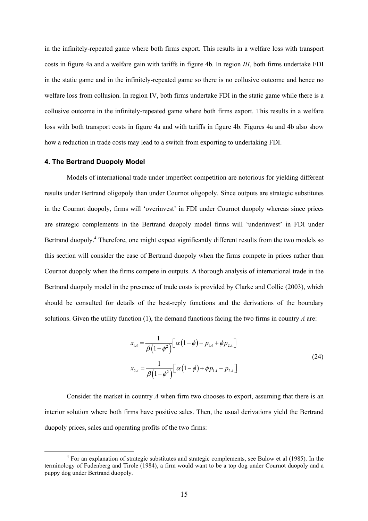in the infinitely-repeated game where both firms export. This results in a welfare loss with transport costs in figure 4a and a welfare gain with tariffs in figure 4b. In region *III*, both firms undertake FDI in the static game and in the infinitely-repeated game so there is no collusive outcome and hence no welfare loss from collusion. In region IV, both firms undertake FDI in the static game while there is a collusive outcome in the infinitely-repeated game where both firms export. This results in a welfare loss with both transport costs in figure 4a and with tariffs in figure 4b. Figures 4a and 4b also show how a reduction in trade costs may lead to a switch from exporting to undertaking FDI.

#### **4. The Bertrand Duopoly Model**

Models of international trade under imperfect competition are notorious for yielding different results under Bertrand oligopoly than under Cournot oligopoly. Since outputs are strategic substitutes in the Cournot duopoly, firms will 'overinvest' in FDI under Cournot duopoly whereas since prices are strategic complements in the Bertrand duopoly model firms will 'underinvest' in FDI under Bertrand duopoly.<sup>4</sup> Therefore, one might expect significantly different results from the two models so this section will consider the case of Bertrand duopoly when the firms compete in prices rather than Cournot duopoly when the firms compete in outputs. A thorough analysis of international trade in the Bertrand duopoly model in the presence of trade costs is provided by Clarke and Collie (2003), which should be consulted for details of the best-reply functions and the derivations of the boundary solutions. Given the utility function (1), the demand functions facing the two firms in country *A* are:

$$
x_{1A} = \frac{1}{\beta(1-\phi^2)} \Big[ \alpha(1-\phi) - p_{1A} + \phi p_{2A} \Big]
$$
  

$$
x_{2A} = \frac{1}{\beta(1-\phi^2)} \Big[ \alpha(1-\phi) + \phi p_{1A} - p_{2A} \Big]
$$
 (24)

Consider the market in country A when firm two chooses to export, assuming that there is an interior solution where both firms have positive sales. Then, the usual derivations yield the Bertrand duopoly prices, sales and operating profits of the two firms:

 $\frac{1}{4}$ <sup>4</sup> For an explanation of strategic substitutes and strategic complements, see Bulow et al (1985). In the terminology of Fudenberg and Tirole (1984), a firm would want to be a top dog under Cournot duopoly and a puppy dog under Bertrand duopoly.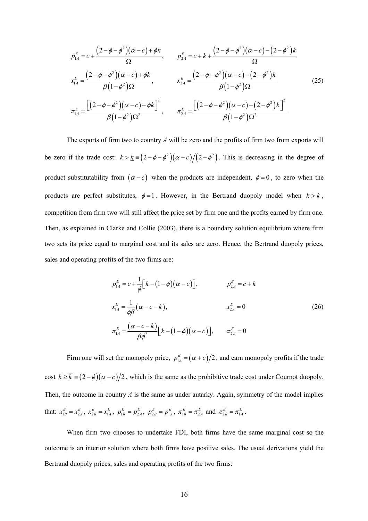$$
p_{1A}^{E} = c + \frac{(2 - \phi - \phi^{2})(\alpha - c) + \phi k}{\Omega}, \qquad p_{2A}^{E} = c + k + \frac{(2 - \phi - \phi^{2})(\alpha - c) - (2 - \phi^{2})k}{\Omega}
$$
  

$$
x_{1A}^{E} = \frac{(2 - \phi - \phi^{2})(\alpha - c) + \phi k}{\beta(1 - \phi^{2})\Omega}, \qquad x_{2A}^{E} = \frac{(2 - \phi - \phi^{2})(\alpha - c) - (2 - \phi^{2})k}{\beta(1 - \phi^{2})\Omega}
$$
(25)  

$$
\pi_{1A}^{E} = \frac{[(2 - \phi - \phi^{2})(\alpha - c) + \phi k]^{2}}{\beta(1 - \phi^{2})\Omega^{2}}, \qquad \pi_{2A}^{E} = \frac{[(2 - \phi - \phi^{2})(\alpha - c) - (2 - \phi^{2})k]^{2}}{\beta(1 - \phi^{2})\Omega^{2}}
$$

The exports of firm two to country *A* will be zero and the profits of firm two from exports will be zero if the trade cost:  $k > \underline{k} = (2 - \phi - \phi^2)(\alpha - c)/(2 - \phi^2)$ . This is decreasing in the degree of product substitutability from  $(\alpha - c)$  when the products are independent,  $\phi = 0$ , to zero when the products are perfect substitutes,  $\phi = 1$ . However, in the Bertrand duopoly model when  $k > k$ , competition from firm two will still affect the price set by firm one and the profits earned by firm one. Then, as explained in Clarke and Collie (2003), there is a boundary solution equilibrium where firm two sets its price equal to marginal cost and its sales are zero. Hence, the Bertrand duopoly prices, sales and operating profits of the two firms are:

$$
p_{1A}^{E} = c + \frac{1}{\phi} \Big[ k - (1 - \phi)(\alpha - c) \Big], \qquad p_{2A}^{E} = c + k
$$
  

$$
x_{1A}^{E} = \frac{1}{\phi \beta} (\alpha - c - k), \qquad x_{2A}^{E} = 0
$$
  

$$
\pi_{1A}^{E} = \frac{(\alpha - c - k)}{\beta \phi^{2}} \Big[ k - (1 - \phi)(\alpha - c) \Big], \qquad \pi_{2A}^{E} = 0
$$
 (26)

Firm one will set the monopoly price,  $p_{\perp A}^E = (\alpha + c)/2$ , and earn monopoly profits if the trade cost  $k \ge \overline{k}$  =  $(2-\phi)(\alpha - c)/2$ , which is the same as the prohibitive trade cost under Cournot duopoly. Then, the outcome in country  $A$  is the same as under autarky. Again, symmetry of the model implies that:  $x_{1B}^E = x_{2A}^E$ ,  $x_{2B}^E = x_{1A}^E$ ,  $p_{1B}^E = p_{2A}^E$ ,  $p_{2B}^E = p_{1A}^E$ ,  $\pi_{1B}^E = \pi_{2A}^E$  and  $\pi_{2B}^E = \pi_{1A}^E$ .

When firm two chooses to undertake FDI, both firms have the same marginal cost so the outcome is an interior solution where both firms have positive sales. The usual derivations yield the Bertrand duopoly prices, sales and operating profits of the two firms: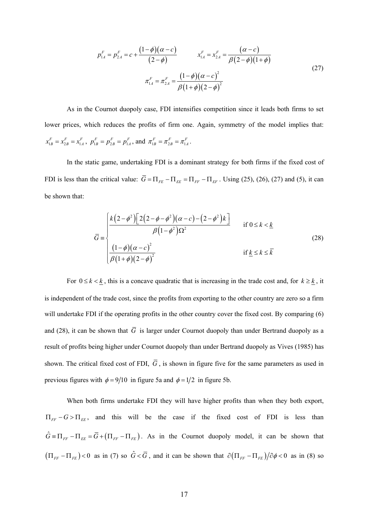$$
p_{1A}^F = p_{2A}^F = c + \frac{(1 - \phi)(\alpha - c)}{(2 - \phi)} \qquad x_{1A}^F = x_{2A}^F = \frac{(\alpha - c)}{\beta(2 - \phi)(1 + \phi)}
$$
  

$$
\pi_{1A}^F = \pi_{2A}^F = \frac{(1 - \phi)(\alpha - c)^2}{\beta(1 + \phi)(2 - \phi)^2}
$$
 (27)

As in the Cournot duopoly case, FDI intensifies competition since it leads both firms to set lower prices, which reduces the profits of firm one. Again, symmetry of the model implies that:  $x_{1B}^F = x_{2B}^F = x_{1A}^F$ ,  $p_{1B}^F = p_{2B}^F = p_{1A}^F$ , and  $\pi_{1B}^F = \pi_{2B}^F = \pi_{1A}^F$ .

In the static game, undertaking FDI is a dominant strategy for both firms if the fixed cost of FDI is less than the critical value:  $\overline{G} = \Pi_{FE} - \Pi_{EE} = \Pi_{FF} - \Pi_{EF}$ . Using (25), (26), (27) and (5), it can be shown that:

$$
\overline{G} = \begin{cases}\n\frac{k(2-\phi^2)[2(2-\phi-\phi^2)(\alpha-c)-(2-\phi^2)k]}{\beta(1-\phi^2)\Omega^2} & \text{if } 0 \le k < \underline{k} \\
\frac{(1-\phi)(\alpha-c)^2}{\beta(1+\phi)(2-\phi)^2} & \text{if } \underline{k} \le k \le \overline{k}\n\end{cases}
$$
\n(28)

For  $0 \le k < \underline{k}$ , this is a concave quadratic that is increasing in the trade cost and, for  $k \ge \underline{k}$ , it is independent of the trade cost, since the profits from exporting to the other country are zero so a firm will undertake FDI if the operating profits in the other country cover the fixed cost. By comparing (6) and (28), it can be shown that  $\overline{G}$  is larger under Cournot duopoly than under Bertrand duopoly as a result of profits being higher under Cournot duopoly than under Bertrand duopoly as Vives (1985) has shown. The critical fixed cost of FDI,  $\overline{G}$ , is shown in figure five for the same parameters as used in previous figures with  $\phi = 9/10$  in figure 5a and  $\phi = 1/2$  in figure 5b.

When both firms undertake FDI they will have higher profits than when they both export,  $\Pi_{FF} - G > \Pi_{EE}$ , and this will be the case if the fixed cost of FDI is less than  $\hat{G} = \Pi_{FF} - \Pi_{EE} = \overline{G} + (\Pi_{FF} - \Pi_{FE})$ . As in the Cournot duopoly model, it can be shown that  $(\Pi_{FF} - \Pi_{FE}) < 0$  as in (7) so  $\hat{G} < \overline{G}$ , and it can be shown that  $\partial(\Pi_{FF} - \Pi_{FE})/\partial \phi < 0$  as in (8) so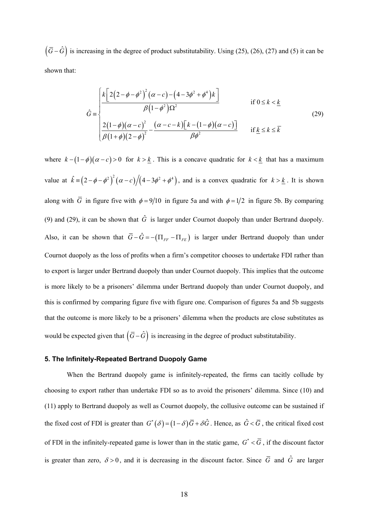$(\bar{G} - \hat{G})$  is increasing in the degree of product substitutability. Using (25), (26), (27) and (5) it can be shown that:

$$
\hat{G} = \begin{cases}\n\frac{k\left[2\left(2-\phi-\phi^2\right)^2\left(\alpha-c\right)-\left(4-3\phi^2+\phi^4\right)k\right]}{\beta\left(1-\phi^2\right)\Omega^2} & \text{if } 0 \le k < \underline{k} \\
\frac{2\left(1-\phi\right)\left(\alpha-c\right)^2}{\beta\left(1+\phi\right)\left(2-\phi\right)^2} - \frac{\left(\alpha-c-k\right)\left[k-\left(1-\phi\right)\left(\alpha-c\right)\right]}{\beta\phi^2} & \text{if } \underline{k} \le k \le \overline{k}\n\end{cases}\n\tag{29}
$$

where  $k - (1 - \phi)(\alpha - c) > 0$  for  $k > k$ . This is a concave quadratic for  $k < k$  that has a maximum value at  $\hat{k} = (2 - \phi - \phi^2)^2 (\alpha - c) / (4 - 3\phi^2 + \phi^4)$ , and is a convex quadratic for  $k > k$ . It is shown along with  $\overline{G}$  in figure five with  $\phi = 9/10$  in figure 5a and with  $\phi = 1/2$  in figure 5b. By comparing (9) and (29), it can be shown that  $\hat{G}$  is larger under Cournot duopoly than under Bertrand duopoly. Also, it can be shown that  $\overline{G} - \hat{G} = -(\Pi_{FF} - \Pi_{FE})$  is larger under Bertrand duopoly than under Cournot duopoly as the loss of profits when a firm's competitor chooses to undertake FDI rather than to export is larger under Bertrand duopoly than under Cournot duopoly. This implies that the outcome is more likely to be a prisoners' dilemma under Bertrand duopoly than under Cournot duopoly, and this is confirmed by comparing figure five with figure one. Comparison of figures 5a and 5b suggests that the outcome is more likely to be a prisoners' dilemma when the products are close substitutes as would be expected given that  $(\bar{G} - \hat{G})$  is increasing in the degree of product substitutability.

#### **5. The Infinitely-Repeated Bertrand Duopoly Game**

When the Bertrand duopoly game is infinitely-repeated, the firms can tacitly collude by choosing to export rather than undertake FDI so as to avoid the prisoners' dilemma. Since (10) and (11) apply to Bertrand duopoly as well as Cournot duopoly, the collusive outcome can be sustained if the fixed cost of FDI is greater than  $G^*(\delta) = (1 - \delta) \overline{G} + \delta \hat{G}$ . Hence, as  $\hat{G} < \overline{G}$ , the critical fixed cost of FDI in the infinitely-repeated game is lower than in the static game,  $G^* < \overline{G}$ , if the discount factor is greater than zero,  $\delta > 0$ , and it is decreasing in the discount factor. Since  $\overline{G}$  and  $\hat{G}$  are larger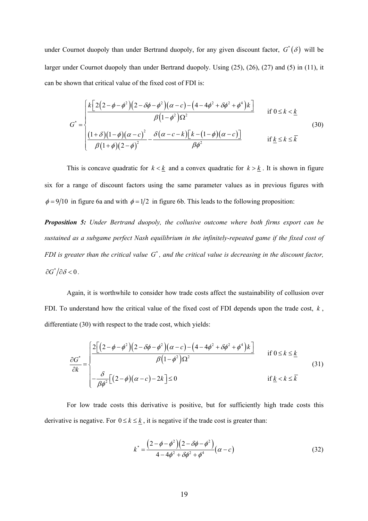under Cournot duopoly than under Bertrand duopoly, for any given discount factor,  $G^*(\delta)$  will be larger under Cournot duopoly than under Bertrand duopoly. Using (25), (26), (27) and (5) in (11), it can be shown that critical value of the fixed cost of FDI is:

$$
G^* = \begin{cases} \frac{k\left[2\left(2-\phi-\phi^2\right)\left(2-\delta\phi-\phi^2\right)\left(\alpha-c\right)-\left(4-4\phi^2+\delta\phi^2+\phi^4\right)k\right]}{\beta\left(1-\phi^2\right)\Omega^2} & \text{if } 0 \le k < \underline{k} \\ \frac{\left(1+\delta\right)\left(1-\phi\right)\left(\alpha-c\right)^2}{\beta\left(1+\phi\right)\left(2-\phi\right)^2} - \frac{\delta\left(\alpha-c-k\right)\left[k-\left(1-\phi\right)\left(\alpha-c\right)\right]}{\beta\phi^2} & \text{if } \underline{k} \le k \le \overline{k} \end{cases} \tag{30}
$$

This is concave quadratic for  $k < \underline{k}$  and a convex quadratic for  $k > \underline{k}$ . It is shown in figure six for a range of discount factors using the same parameter values as in previous figures with  $\phi = 9/10$  in figure 6a and with  $\phi = 1/2$  in figure 6b. This leads to the following proposition:

*Proposition 5: Under Bertrand duopoly, the collusive outcome where both firms export can be sustained as a subgame perfect Nash equilibrium in the infinitely-repeated game if the fixed cost of FDI is greater than the critical value*  $G^*$ , and the critical value is decreasing in the discount factor,  $\partial G^* / \partial \delta < 0$ .

Again, it is worthwhile to consider how trade costs affect the sustainability of collusion over FDI. To understand how the critical value of the fixed cost of FDI depends upon the trade cost, *k* , differentiate (30) with respect to the trade cost, which yields:

$$
\frac{\partial G^*}{\partial k} = \begin{cases}\n\frac{2\left[\left(2-\phi-\phi^2\right)\left(2-\delta\phi-\phi^2\right)\left(\alpha-c\right)-\left(4-4\phi^2+\delta\phi^2+\phi^4\right)k\right]}{\beta\left(1-\phi^2\right)\Omega^2} & \text{if } 0 \le k \le \underline{k} \\
-\frac{\delta}{\beta\phi^2}\left[\left(2-\phi\right)\left(\alpha-c\right)-2k\right] \le 0 & \text{if } \underline{k} < k \le \overline{k}\n\end{cases}\n\tag{31}
$$

For low trade costs this derivative is positive, but for sufficiently high trade costs this derivative is negative. For  $0 \le k \le \underline{k}$ , it is negative if the trade cost is greater than:

$$
k^* = \frac{(2 - \phi - \phi^2)(2 - \delta\phi - \phi^2)}{4 - 4\phi^2 + \delta\phi^2 + \phi^4} (\alpha - c)
$$
\n(32)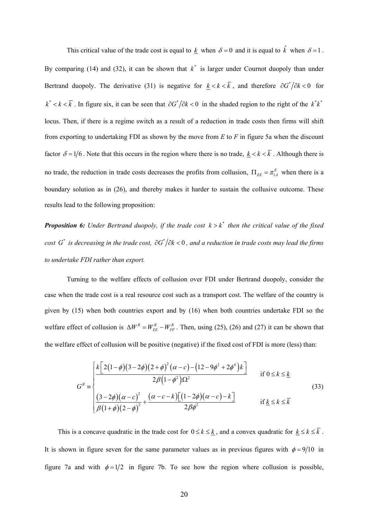This critical value of the trade cost is equal to  $\underline{k}$  when  $\delta = 0$  and it is equal to  $\hat{k}$  when  $\delta = 1$ . By comparing (14) and (32), it can be shown that  $k^*$  is larger under Cournot duopoly than under Bertrand duopoly. The derivative (31) is negative for  $k < k < \overline{k}$ , and therefore  $\partial G^* / \partial k < 0$  for  $k^* < k < \overline{k}$ . In figure six, it can be seen that  $\partial G^* / \partial k < 0$  in the shaded region to the right of the  $k^* k^*$ locus. Then, if there is a regime switch as a result of a reduction in trade costs then firms will shift from exporting to undertaking FDI as shown by the move from *E* to *F* in figure 5a when the discount factor  $\delta = 1/6$ . Note that this occurs in the region where there is no trade,  $k < k < \overline{k}$ . Although there is no trade, the reduction in trade costs decreases the profits from collusion,  $\Pi_{EE} = \pi_{1A}^E$  when there is a boundary solution as in (26), and thereby makes it harder to sustain the collusive outcome. These results lead to the following proposition:

**Proposition 6:** Under Bertrand duopoly, if the trade cost  $k > k^*$  then the critical value of the fixed *cost G*<sup>\*</sup> *is decreasing in the trade cost,*  $\partial G^*/\partial k < 0$ , and a reduction in trade costs may lead the firms *to undertake FDI rather than export.* 

Turning to the welfare effects of collusion over FDI under Bertrand duopoly, consider the case when the trade cost is a real resource cost such as a transport cost. The welfare of the country is given by (15) when both countries export and by (16) when both countries undertake FDI so the welfare effect of collusion is  $\Delta W^R = W_{EF}^R - W_{EF}^R$ . Then, using (25), (26) and (27) it can be shown that the welfare effect of collusion will be positive (negative) if the fixed cost of FDI is more (less) than:

$$
G^{R} = \begin{cases} \frac{k\left[2(1-\phi)(3-2\phi)(2+\phi)^{2}(\alpha-c)-(12-9\phi^{2}+2\phi^{4})k\right]}{2\beta(1-\phi^{2})\Omega^{2}} & \text{if } 0 \leq k \leq \underline{k} \\ \frac{(3-2\phi)(\alpha-c)^{2}}{\beta(1+\phi)(2-\phi)^{2}} + \frac{(\alpha-c-k)\left[(1-2\phi)(\alpha-c)-k\right]}{2\beta\phi^{2}} & \text{if } \underline{k} \leq k \leq \overline{k} \end{cases}
$$
(33)

This is a concave quadratic in the trade cost for  $0 \le k \le k$ , and a convex quadratic for  $k \le k \le \overline{k}$ . It is shown in figure seven for the same parameter values as in previous figures with  $\phi = 9/10$  in figure 7a and with  $\phi = 1/2$  in figure 7b. To see how the region where collusion is possible,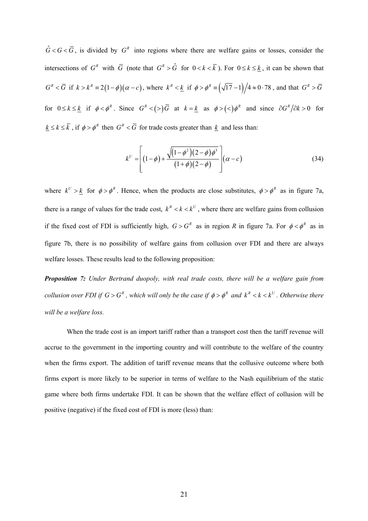$\hat{G} < G < \overline{G}$ , is divided by  $G<sup>R</sup>$  into regions where there are welfare gains or losses, consider the intersections of  $G^R$  with  $\overline{G}$  (note that  $G^R > \hat{G}$  for  $0 < k < \overline{k}$ ). For  $0 \le k \le \underline{k}$ , it can be shown that  $G^R < \overline{G}$  if  $k > k^R \equiv 2(1-\phi)(\alpha - c)$ , where  $k^R < \underline{k}$  if  $\phi > \phi^R \equiv (\sqrt{17} - 1)/4 \approx 0.78$ , and that  $G^R > \overline{G}$ for  $0 \le k \le \underline{k}$  if  $\phi < \phi^R$ . Since  $G^R < (>)\overline{G}$  at  $k = \underline{k}$  as  $\phi > (>)\phi^R$  and since  $\partial G^R / \partial k > 0$  for  $k \le k \le \overline{k}$ , if  $\phi > \phi^R$  then  $G^R < \overline{G}$  for trade costs greater than  $k$  and less than:

$$
k^{U} = \left[ (1 - \phi) + \frac{\sqrt{(1 - \phi^2)(2 - \phi)\phi^3}}{(1 + \phi)(2 - \phi)} \right] (\alpha - c) \tag{34}
$$

where  $k^U > k$  for  $\phi > \phi^R$ . Hence, when the products are close substitutes,  $\phi > \phi^R$  as in figure 7a, there is a range of values for the trade cost,  $k^R < k < k^U$ , where there are welfare gains from collusion if the fixed cost of FDI is sufficiently high,  $G > G<sup>R</sup>$  as in region *R* in figure 7a. For  $\phi < \phi<sup>R</sup>$  as in figure 7b, there is no possibility of welfare gains from collusion over FDI and there are always welfare losses. These results lead to the following proposition:

*Proposition 7: Under Bertrand duopoly, with real trade costs, there will be a welfare gain from collusion over FDI if*  $G > G^R$ , which will only be the case if  $\phi > \phi^R$  and  $k^R < k < k^U$ . Otherwise there *will be a welfare loss.* 

When the trade cost is an import tariff rather than a transport cost then the tariff revenue will accrue to the government in the importing country and will contribute to the welfare of the country when the firms export. The addition of tariff revenue means that the collusive outcome where both firms export is more likely to be superior in terms of welfare to the Nash equilibrium of the static game where both firms undertake FDI. It can be shown that the welfare effect of collusion will be positive (negative) if the fixed cost of FDI is more (less) than: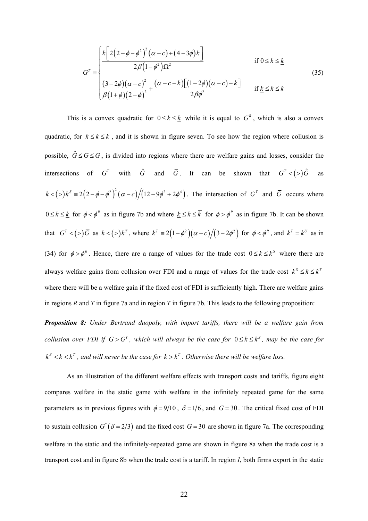$$
G^{T} = \begin{cases} \frac{k\left[2\left(2-\phi-\phi^{2}\right)^{2}\left(\alpha-c\right)+\left(4-3\phi\right)k\right]}{2\beta\left(1-\phi^{2}\right)\Omega^{2}} & \text{if } 0 \leq k \leq \underline{k} \\ \frac{(3-2\phi)\left(\alpha-c\right)^{2}}{\beta\left(1+\phi\right)\left(2-\phi\right)^{2}} + \frac{\left(\alpha-c-k\right)\left[\left(1-2\phi\right)\left(\alpha-c\right)-k\right]}{2\beta\phi^{2}} & \text{if } \underline{k} \leq k \leq \overline{k} \end{cases} \tag{35}
$$

This is a convex quadratic for  $0 \le k \le k$  while it is equal to  $G<sup>R</sup>$ , which is also a convex quadratic, for  $k \le k \le \overline{k}$ , and it is shown in figure seven. To see how the region where collusion is possible,  $\hat{G} \leq G \leq \overline{G}$ , is divided into regions where there are welfare gains and losses, consider the intersections of  $G^T$  with  $\hat{G}$  and  $\overline{G}$ . It can be shown that  $G^T < (>)\hat{G}$  as  $(k < (>) k<sup>S</sup> = 2(2-\phi-\phi^2)^2(\alpha-c)/(12-9\phi^2+2\phi^4)$ . The intersection of  $G<sup>T</sup>$  and  $\overline{G}$  occurs where  $0 \le k \le k$  for  $\phi < \phi^R$  as in figure 7b and where  $k \le k \le \overline{k}$  for  $\phi > \phi^R$  as in figure 7b. It can be shown that  $G^T < (>)\overline{G}$  as  $k < (>)k^T$ , where  $k^T = 2(1-\phi^2)(\alpha-c)/(3-2\phi^2)$  for  $\phi < \phi^R$ , and  $k^T = k^U$  as in (34) for  $\phi > \phi^R$ . Hence, there are a range of values for the trade cost  $0 \le k \le k^S$  where there are always welfare gains from collusion over FDI and a range of values for the trade cost  $k^s \le k \le k^T$ where there will be a welfare gain if the fixed cost of FDI is sufficiently high. There are welfare gains in regions *R* and *T* in figure 7a and in region *T* in figure 7b. This leads to the following proposition:

*Proposition 8: Under Bertrand duopoly, with import tariffs, there will be a welfare gain from collusion over FDI if*  $G > G^T$ , which will always be the case for  $0 \le k \le k^S$ , may be the case for  $k^s < k < k^T$ , and will never be the case for  $k > k^T$ . Otherwise there will be welfare loss.

As an illustration of the different welfare effects with transport costs and tariffs, figure eight compares welfare in the static game with welfare in the infinitely repeated game for the same parameters as in previous figures with  $\phi = 9/10$ ,  $\delta = 1/6$ , and  $G = 30$ . The critical fixed cost of FDI to sustain collusion  $G^*(\delta = 2/3)$  and the fixed cost  $G = 30$  are shown in figure 7a. The corresponding welfare in the static and the infinitely-repeated game are shown in figure 8a when the trade cost is a transport cost and in figure 8b when the trade cost is a tariff. In region *I*, both firms export in the static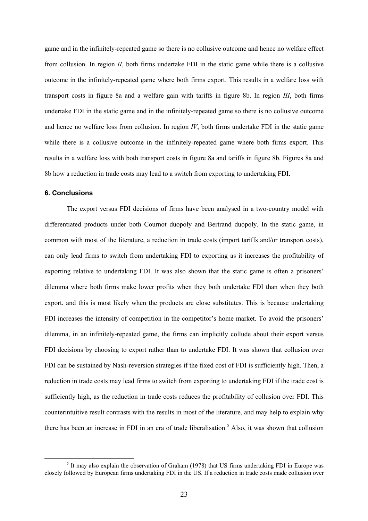game and in the infinitely-repeated game so there is no collusive outcome and hence no welfare effect from collusion. In region *II*, both firms undertake FDI in the static game while there is a collusive outcome in the infinitely-repeated game where both firms export. This results in a welfare loss with transport costs in figure 8a and a welfare gain with tariffs in figure 8b. In region *III*, both firms undertake FDI in the static game and in the infinitely-repeated game so there is no collusive outcome and hence no welfare loss from collusion. In region  $IV$ , both firms undertake FDI in the static game while there is a collusive outcome in the infinitely-repeated game where both firms export. This results in a welfare loss with both transport costs in figure 8a and tariffs in figure 8b. Figures 8a and 8b how a reduction in trade costs may lead to a switch from exporting to undertaking FDI.

#### **6. Conclusions**

The export versus FDI decisions of firms have been analysed in a two-country model with differentiated products under both Cournot duopoly and Bertrand duopoly. In the static game, in common with most of the literature, a reduction in trade costs (import tariffs and/or transport costs), can only lead firms to switch from undertaking FDI to exporting as it increases the profitability of exporting relative to undertaking FDI. It was also shown that the static game is often a prisoners' dilemma where both firms make lower profits when they both undertake FDI than when they both export, and this is most likely when the products are close substitutes. This is because undertaking FDI increases the intensity of competition in the competitor's home market. To avoid the prisoners' dilemma, in an infinitely-repeated game, the firms can implicitly collude about their export versus FDI decisions by choosing to export rather than to undertake FDI. It was shown that collusion over FDI can be sustained by Nash-reversion strategies if the fixed cost of FDI is sufficiently high. Then, a reduction in trade costs may lead firms to switch from exporting to undertaking FDI if the trade cost is sufficiently high, as the reduction in trade costs reduces the profitability of collusion over FDI. This counterintuitive result contrasts with the results in most of the literature, and may help to explain why there has been an increase in FDI in an era of trade liberalisation.<sup>5</sup> Also, it was shown that collusion

 $\frac{1}{5}$  $<sup>5</sup>$  It may also explain the observation of Graham (1978) that US firms undertaking FDI in Europe was</sup> closely followed by European firms undertaking FDI in the US. If a reduction in trade costs made collusion over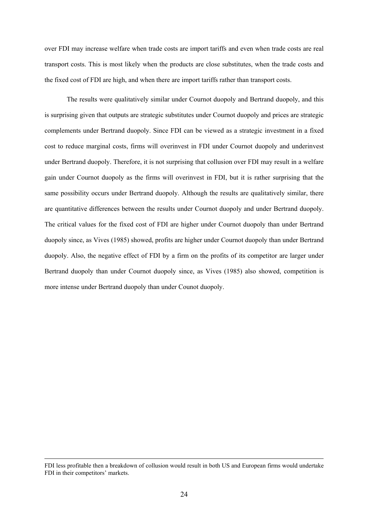over FDI may increase welfare when trade costs are import tariffs and even when trade costs are real transport costs. This is most likely when the products are close substitutes, when the trade costs and the fixed cost of FDI are high, and when there are import tariffs rather than transport costs.

The results were qualitatively similar under Cournot duopoly and Bertrand duopoly, and this is surprising given that outputs are strategic substitutes under Cournot duopoly and prices are strategic complements under Bertrand duopoly. Since FDI can be viewed as a strategic investment in a fixed cost to reduce marginal costs, firms will overinvest in FDI under Cournot duopoly and underinvest under Bertrand duopoly. Therefore, it is not surprising that collusion over FDI may result in a welfare gain under Cournot duopoly as the firms will overinvest in FDI, but it is rather surprising that the same possibility occurs under Bertrand duopoly. Although the results are qualitatively similar, there are quantitative differences between the results under Cournot duopoly and under Bertrand duopoly. The critical values for the fixed cost of FDI are higher under Cournot duopoly than under Bertrand duopoly since, as Vives (1985) showed, profits are higher under Cournot duopoly than under Bertrand duopoly. Also, the negative effect of FDI by a firm on the profits of its competitor are larger under Bertrand duopoly than under Cournot duopoly since, as Vives (1985) also showed, competition is more intense under Bertrand duopoly than under Counot duopoly.

FDI less profitable then a breakdown of collusion would result in both US and European firms would undertake FDI in their competitors' markets.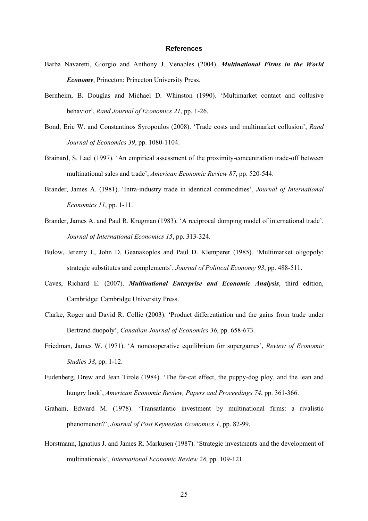#### **References**

- Barba Navaretti, Giorgio and Anthony J. Venables (2004). *Multinational Firms in the World Economy*, Princeton: Princeton University Press.
- Bernheim, B. Douglas and Michael D. Whinston (1990). 'Multimarket contact and collusive behavior', *Rand Journal of Economics 21*, pp. 1-26.
- Bond, Eric W. and Constantinos Syropoulos (2008). 'Trade costs and multimarket collusion', *Rand Journal of Economics 39*, pp. 1080-1104.
- Brainard, S. Lael (1997). 'An empirical assessment of the proximity-concentration trade-off between multinational sales and trade', *American Economic Review 87*, pp. 520-544.
- Brander, James A. (1981). 'Intra-industry trade in identical commodities', *Journal of International Economics 11*, pp. 1-11.
- Brander, James A. and Paul R. Krugman (1983). 'A reciprocal dumping model of international trade', *Journal of International Economics 15*, pp. 313-324.
- Bulow, Jeremy I., John D. Geanakoplos and Paul D. Klemperer (1985). 'Multimarket oligopoly: strategic substitutes and complements', *Journal of Political Economy 93*, pp. 488-511.
- Caves, Richard E. (2007). *Multinational Enterprise and Economic Analysis*, third edition, Cambridge: Cambridge University Press.
- Clarke, Roger and David R. Collie (2003). 'Product differentiation and the gains from trade under Bertrand duopoly', *Canadian Journal of Economics 36*, pp. 658-673.
- Friedman, James W. (1971). 'A noncooperative equilibrium for supergames', *Review of Economic Studies 38*, pp. 1-12.
- Fudenberg, Drew and Jean Tirole (1984). 'The fat-cat effect, the puppy-dog ploy, and the lean and hungry look', *American Economic Review, Papers and Proceedings 74*, pp. 361-366.
- Graham, Edward M. (1978). 'Transatlantic investment by multinational firms: a rivalistic phenomenon?', *Journal of Post Keynesian Economics 1*, pp. 82-99.
- Horstmann, Ignatius J. and James R. Markusen (1987). 'Strategic investments and the development of multinationals', *International Economic Review 28*, pp. 109-121.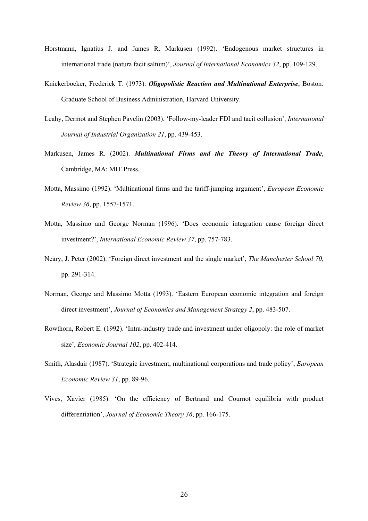- Horstmann, Ignatius J. and James R. Markusen (1992). 'Endogenous market structures in international trade (natura facit saltum)', *Journal of International Economics 32*, pp. 109-129.
- Knickerbocker, Frederick T. (1973). *Oligopolistic Reaction and Multinational Enterprise*, Boston: Graduate School of Business Administration, Harvard University.
- Leahy, Dermot and Stephen Pavelin (2003). 'Follow-my-leader FDI and tacit collusion', *International Journal of Industrial Organization 21*, pp. 439-453.
- Markusen, James R. (2002). *Multinational Firms and the Theory of International Trade*, Cambridge, MA: MIT Press.
- Motta, Massimo (1992). 'Multinational firms and the tariff-jumping argument', *European Economic Review 36*, pp. 1557-1571.
- Motta, Massimo and George Norman (1996). 'Does economic integration cause foreign direct investment?', *International Economic Review 37*, pp. 757-783.
- Neary, J. Peter (2002). 'Foreign direct investment and the single market', *The Manchester School 70*, pp. 291-314.
- Norman, George and Massimo Motta (1993). 'Eastern European economic integration and foreign direct investment', *Journal of Economics and Management Strategy 2*, pp. 483-507.
- Rowthorn, Robert E. (1992). 'Intra-industry trade and investment under oligopoly: the role of market size', *Economic Journal 102*, pp. 402-414.
- Smith, Alasdair (1987). 'Strategic investment, multinational corporations and trade policy', *European Economic Review 31*, pp. 89-96.
- Vives, Xavier (1985). 'On the efficiency of Bertrand and Cournot equilibria with product differentiation', *Journal of Economic Theory 36*, pp. 166-175.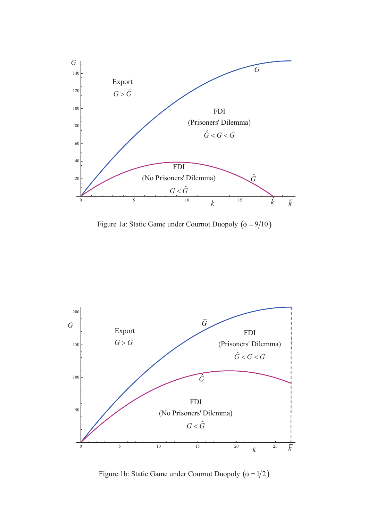

Figure 1a: Static Game under Cournot Duopoly  $(\phi = 9/10)$ 



Figure 1b: Static Game under Cournot Duopoly  $(\phi = 1/2)$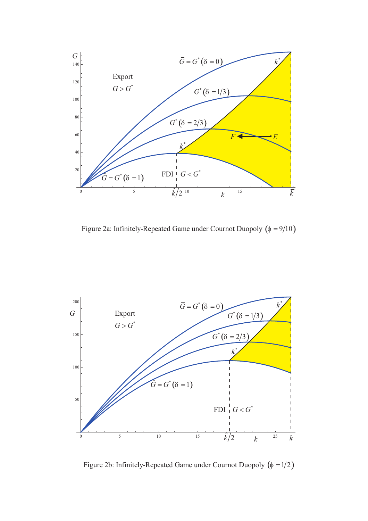

Figure 2a: Infinitely-Repeated Game under Cournot Duopoly  $(\phi = 9/10)$ 



Figure 2b: Infinitely-Repeated Game under Cournot Duopoly  $(\phi = 1/2)$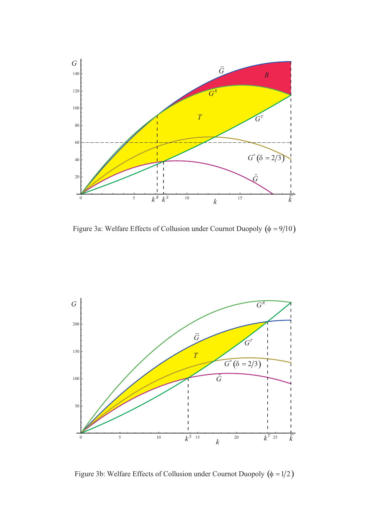

Figure 3a: Welfare Effects of Collusion under Cournot Duopoly  $(\phi = 9/10)$ 



Figure 3b: Welfare Effects of Collusion under Cournot Duopoly  $(\phi = 1/2)$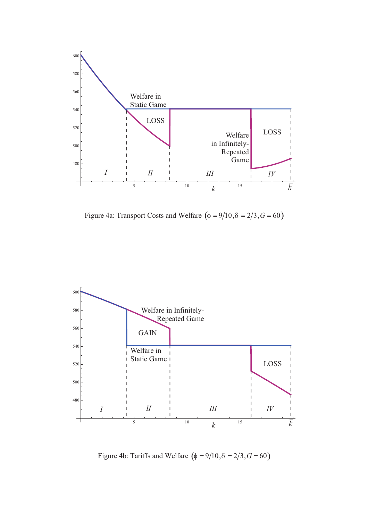

Figure 4a: Transport Costs and Welfare  $(\phi = 9/10, \delta = 2/3, G = 60)$ 



Figure 4b: Tariffs and Welfare  $(\phi = 9/10, \delta = 2/3, G = 60)$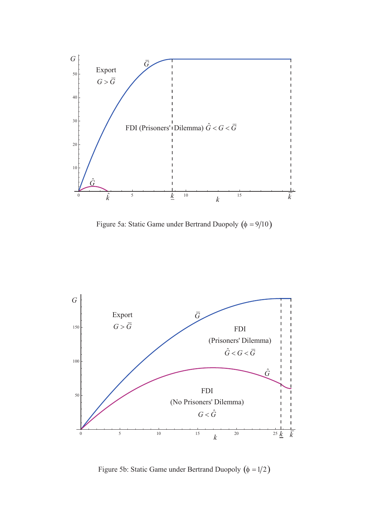

Figure 5a: Static Game under Bertrand Duopoly  $(\phi = 9/10)$ 



Figure 5b: Static Game under Bertrand Duopoly  $(\phi = 1/2)$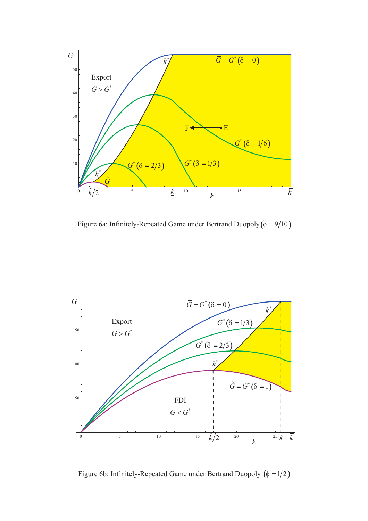

Figure 6a: Infinitely-Repeated Game under Bertrand Duopoly  $(\phi = 9/10)$ 



Figure 6b: Infinitely-Repeated Game under Bertrand Duopoly  $(\phi = 1/2)$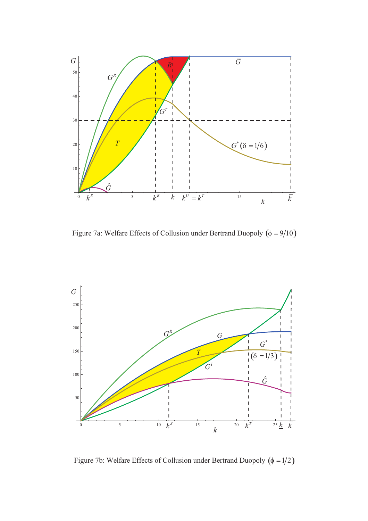

Figure 7a: Welfare Effects of Collusion under Bertrand Duopoly  $(\phi = 9/10)$ 



Figure 7b: Welfare Effects of Collusion under Bertrand Duopoly  $(\phi = 1/2)$